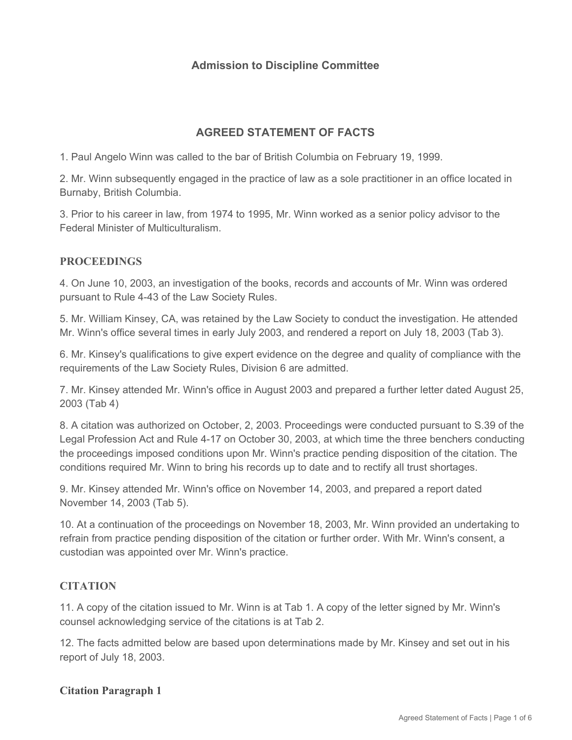# **Admission to Discipline Committee**

# **AGREED STATEMENT OF FACTS**

1. Paul Angelo Winn was called to the bar of British Columbia on February 19, 1999.

2. Mr. Winn subsequently engaged in the practice of law as a sole practitioner in an office located in Burnaby, British Columbia.

3. Prior to his career in law, from 1974 to 1995, Mr. Winn worked as a senior policy advisor to the Federal Minister of Multiculturalism.

# **PROCEEDINGS**

4. On June 10, 2003, an investigation of the books, records and accounts of Mr. Winn was ordered pursuant to Rule 4-43 of the Law Society Rules.

5. Mr. William Kinsey, CA, was retained by the Law Society to conduct the investigation. He attended Mr. Winn's office several times in early July 2003, and rendered a report on July 18, 2003 (Tab 3).

6. Mr. Kinsey's qualifications to give expert evidence on the degree and quality of compliance with the requirements of the Law Society Rules, Division 6 are admitted.

7. Mr. Kinsey attended Mr. Winn's office in August 2003 and prepared a further letter dated August 25, 2003 (Tab 4)

8. A citation was authorized on October, 2, 2003. Proceedings were conducted pursuant to S.39 of the Legal Profession Act and Rule 4-17 on October 30, 2003, at which time the three benchers conducting the proceedings imposed conditions upon Mr. Winn's practice pending disposition of the citation. The conditions required Mr. Winn to bring his records up to date and to rectify all trust shortages.

9. Mr. Kinsey attended Mr. Winn's office on November 14, 2003, and prepared a report dated November 14, 2003 (Tab 5).

10. At a continuation of the proceedings on November 18, 2003, Mr. Winn provided an undertaking to refrain from practice pending disposition of the citation or further order. With Mr. Winn's consent, a custodian was appointed over Mr. Winn's practice.

## **CITATION**

11. A copy of the citation issued to Mr. Winn is at Tab 1. A copy of the letter signed by Mr. Winn's counsel acknowledging service of the citations is at Tab 2.

12. The facts admitted below are based upon determinations made by Mr. Kinsey and set out in his report of July 18, 2003.

## **Citation Paragraph 1**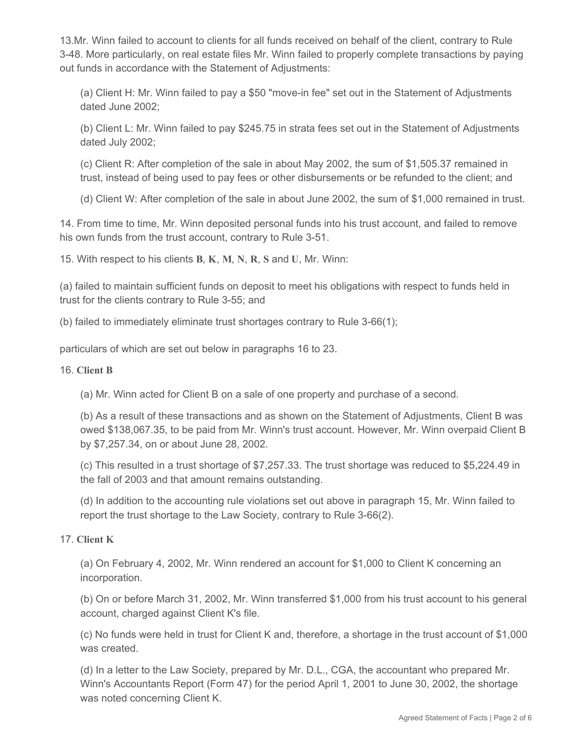13.Mr. Winn failed to account to clients for all funds received on behalf of the client, contrary to Rule 3-48. More particularly, on real estate files Mr. Winn failed to properly complete transactions by paying out funds in accordance with the Statement of Adjustments:

(a) Client H: Mr. Winn failed to pay a \$50 "move-in fee" set out in the Statement of Adjustments dated June 2002;

(b) Client L: Mr. Winn failed to pay \$245.75 in strata fees set out in the Statement of Adjustments dated July 2002;

(c) Client R: After completion of the sale in about May 2002, the sum of \$1,505.37 remained in trust, instead of being used to pay fees or other disbursements or be refunded to the client; and

(d) Client W: After completion of the sale in about June 2002, the sum of \$1,000 remained in trust.

14. From time to time, Mr. Winn deposited personal funds into his trust account, and failed to remove his own funds from the trust account, contrary to Rule 3-51.

15. With respect to his clients **B**, **K**, **M**, **N**, **R**, **S** and **U**, Mr. Winn:

(a) failed to maintain sufficient funds on deposit to meet his obligations with respect to funds held in trust for the clients contrary to Rule 3-55; and

(b) failed to immediately eliminate trust shortages contrary to Rule 3-66(1);

particulars of which are set out below in paragraphs 16 to 23.

16. **Client B** 

(a) Mr. Winn acted for Client B on a sale of one property and purchase of a second.

(b) As a result of these transactions and as shown on the Statement of Adjustments, Client B was owed \$138,067.35, to be paid from Mr. Winn's trust account. However, Mr. Winn overpaid Client B by \$7,257.34, on or about June 28, 2002.

(c) This resulted in a trust shortage of \$7,257.33. The trust shortage was reduced to \$5,224.49 in the fall of 2003 and that amount remains outstanding.

(d) In addition to the accounting rule violations set out above in paragraph 15, Mr. Winn failed to report the trust shortage to the Law Society, contrary to Rule 3-66(2).

## 17. **Client K**

(a) On February 4, 2002, Mr. Winn rendered an account for \$1,000 to Client K concerning an incorporation.

(b) On or before March 31, 2002, Mr. Winn transferred \$1,000 from his trust account to his general account, charged against Client K's file.

(c) No funds were held in trust for Client K and, therefore, a shortage in the trust account of \$1,000 was created.

(d) In a letter to the Law Society, prepared by Mr. D.L., CGA, the accountant who prepared Mr. Winn's Accountants Report (Form 47) for the period April 1, 2001 to June 30, 2002, the shortage was noted concerning Client K.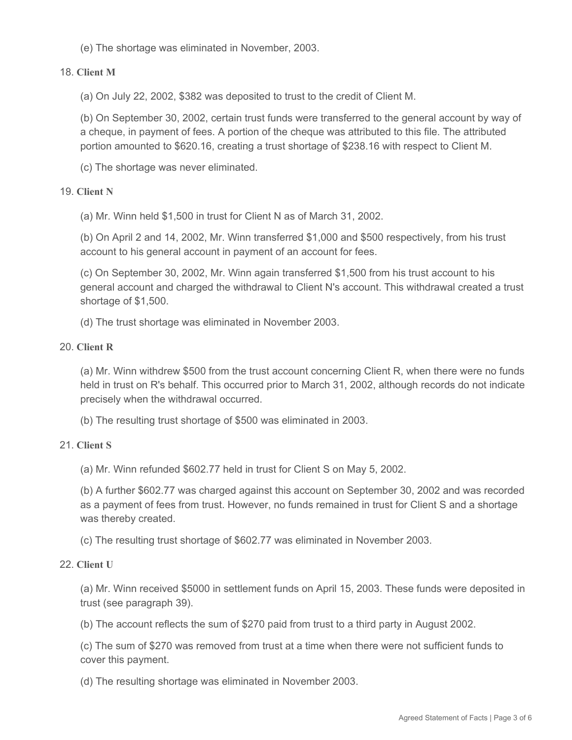(e) The shortage was eliminated in November, 2003.

## 18. **Client M**

(a) On July 22, 2002, \$382 was deposited to trust to the credit of Client M.

(b) On September 30, 2002, certain trust funds were transferred to the general account by way of a cheque, in payment of fees. A portion of the cheque was attributed to this file. The attributed portion amounted to \$620.16, creating a trust shortage of \$238.16 with respect to Client M.

(c) The shortage was never eliminated.

## 19. **Client N**

(a) Mr. Winn held \$1,500 in trust for Client N as of March 31, 2002.

(b) On April 2 and 14, 2002, Mr. Winn transferred \$1,000 and \$500 respectively, from his trust account to his general account in payment of an account for fees.

(c) On September 30, 2002, Mr. Winn again transferred \$1,500 from his trust account to his general account and charged the withdrawal to Client N's account. This withdrawal created a trust shortage of \$1,500.

(d) The trust shortage was eliminated in November 2003.

#### 20. **Client R**

(a) Mr. Winn withdrew \$500 from the trust account concerning Client R, when there were no funds held in trust on R's behalf. This occurred prior to March 31, 2002, although records do not indicate precisely when the withdrawal occurred.

(b) The resulting trust shortage of \$500 was eliminated in 2003.

#### 21. **Client S**

(a) Mr. Winn refunded \$602.77 held in trust for Client S on May 5, 2002.

(b) A further \$602.77 was charged against this account on September 30, 2002 and was recorded as a payment of fees from trust. However, no funds remained in trust for Client S and a shortage was thereby created.

(c) The resulting trust shortage of \$602.77 was eliminated in November 2003.

#### 22. **Client U**

(a) Mr. Winn received \$5000 in settlement funds on April 15, 2003. These funds were deposited in trust (see paragraph 39).

(b) The account reflects the sum of \$270 paid from trust to a third party in August 2002.

(c) The sum of \$270 was removed from trust at a time when there were not sufficient funds to cover this payment.

(d) The resulting shortage was eliminated in November 2003.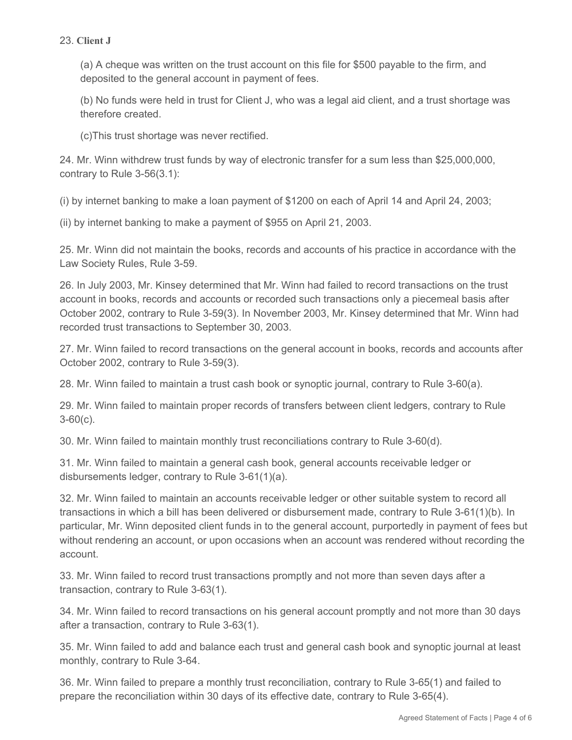## 23. **Client J**

(a) A cheque was written on the trust account on this file for \$500 payable to the firm, and deposited to the general account in payment of fees.

(b) No funds were held in trust for Client J, who was a legal aid client, and a trust shortage was therefore created.

(c)This trust shortage was never rectified.

24. Mr. Winn withdrew trust funds by way of electronic transfer for a sum less than \$25,000,000, contrary to Rule 3-56(3.1):

(i) by internet banking to make a loan payment of \$1200 on each of April 14 and April 24, 2003;

(ii) by internet banking to make a payment of \$955 on April 21, 2003.

25. Mr. Winn did not maintain the books, records and accounts of his practice in accordance with the Law Society Rules, Rule 3-59.

26. In July 2003, Mr. Kinsey determined that Mr. Winn had failed to record transactions on the trust account in books, records and accounts or recorded such transactions only a piecemeal basis after October 2002, contrary to Rule 3-59(3). In November 2003, Mr. Kinsey determined that Mr. Winn had recorded trust transactions to September 30, 2003.

27. Mr. Winn failed to record transactions on the general account in books, records and accounts after October 2002, contrary to Rule 3-59(3).

28. Mr. Winn failed to maintain a trust cash book or synoptic journal, contrary to Rule 3-60(a).

29. Mr. Winn failed to maintain proper records of transfers between client ledgers, contrary to Rule  $3-60(c)$ .

30. Mr. Winn failed to maintain monthly trust reconciliations contrary to Rule 3-60(d).

31. Mr. Winn failed to maintain a general cash book, general accounts receivable ledger or disbursements ledger, contrary to Rule 3-61(1)(a).

32. Mr. Winn failed to maintain an accounts receivable ledger or other suitable system to record all transactions in which a bill has been delivered or disbursement made, contrary to Rule 3-61(1)(b). In particular, Mr. Winn deposited client funds in to the general account, purportedly in payment of fees but without rendering an account, or upon occasions when an account was rendered without recording the account.

33. Mr. Winn failed to record trust transactions promptly and not more than seven days after a transaction, contrary to Rule 3-63(1).

34. Mr. Winn failed to record transactions on his general account promptly and not more than 30 days after a transaction, contrary to Rule 3-63(1).

35. Mr. Winn failed to add and balance each trust and general cash book and synoptic journal at least monthly, contrary to Rule 3-64.

36. Mr. Winn failed to prepare a monthly trust reconciliation, contrary to Rule 3-65(1) and failed to prepare the reconciliation within 30 days of its effective date, contrary to Rule 3-65(4).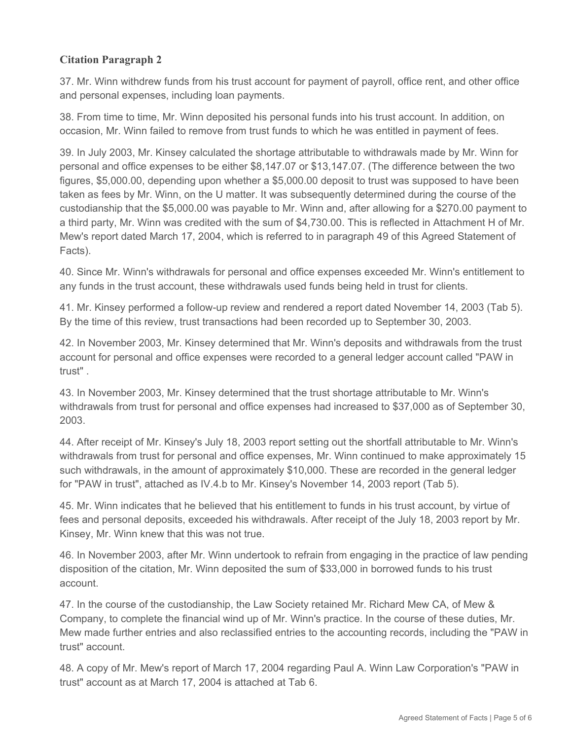# **Citation Paragraph 2**

37. Mr. Winn withdrew funds from his trust account for payment of payroll, office rent, and other office and personal expenses, including loan payments.

38. From time to time, Mr. Winn deposited his personal funds into his trust account. In addition, on occasion, Mr. Winn failed to remove from trust funds to which he was entitled in payment of fees.

39. In July 2003, Mr. Kinsey calculated the shortage attributable to withdrawals made by Mr. Winn for personal and office expenses to be either \$8,147.07 or \$13,147.07. (The difference between the two figures, \$5,000.00, depending upon whether a \$5,000.00 deposit to trust was supposed to have been taken as fees by Mr. Winn, on the U matter. It was subsequently determined during the course of the custodianship that the \$5,000.00 was payable to Mr. Winn and, after allowing for a \$270.00 payment to a third party, Mr. Winn was credited with the sum of \$4,730.00. This is reflected in Attachment H of Mr. Mew's report dated March 17, 2004, which is referred to in paragraph 49 of this Agreed Statement of Facts).

40. Since Mr. Winn's withdrawals for personal and office expenses exceeded Mr. Winn's entitlement to any funds in the trust account, these withdrawals used funds being held in trust for clients.

41. Mr. Kinsey performed a follow-up review and rendered a report dated November 14, 2003 (Tab 5). By the time of this review, trust transactions had been recorded up to September 30, 2003.

42. In November 2003, Mr. Kinsey determined that Mr. Winn's deposits and withdrawals from the trust account for personal and office expenses were recorded to a general ledger account called "PAW in trust" .

43. In November 2003, Mr. Kinsey determined that the trust shortage attributable to Mr. Winn's withdrawals from trust for personal and office expenses had increased to \$37,000 as of September 30, 2003.

44. After receipt of Mr. Kinsey's July 18, 2003 report setting out the shortfall attributable to Mr. Winn's withdrawals from trust for personal and office expenses, Mr. Winn continued to make approximately 15 such withdrawals, in the amount of approximately \$10,000. These are recorded in the general ledger for "PAW in trust", attached as IV.4.b to Mr. Kinsey's November 14, 2003 report (Tab 5).

45. Mr. Winn indicates that he believed that his entitlement to funds in his trust account, by virtue of fees and personal deposits, exceeded his withdrawals. After receipt of the July 18, 2003 report by Mr. Kinsey, Mr. Winn knew that this was not true.

46. In November 2003, after Mr. Winn undertook to refrain from engaging in the practice of law pending disposition of the citation, Mr. Winn deposited the sum of \$33,000 in borrowed funds to his trust account.

47. In the course of the custodianship, the Law Society retained Mr. Richard Mew CA, of Mew & Company, to complete the financial wind up of Mr. Winn's practice. In the course of these duties, Mr. Mew made further entries and also reclassified entries to the accounting records, including the "PAW in trust" account.

48. A copy of Mr. Mew's report of March 17, 2004 regarding Paul A. Winn Law Corporation's "PAW in trust" account as at March 17, 2004 is attached at Tab 6.